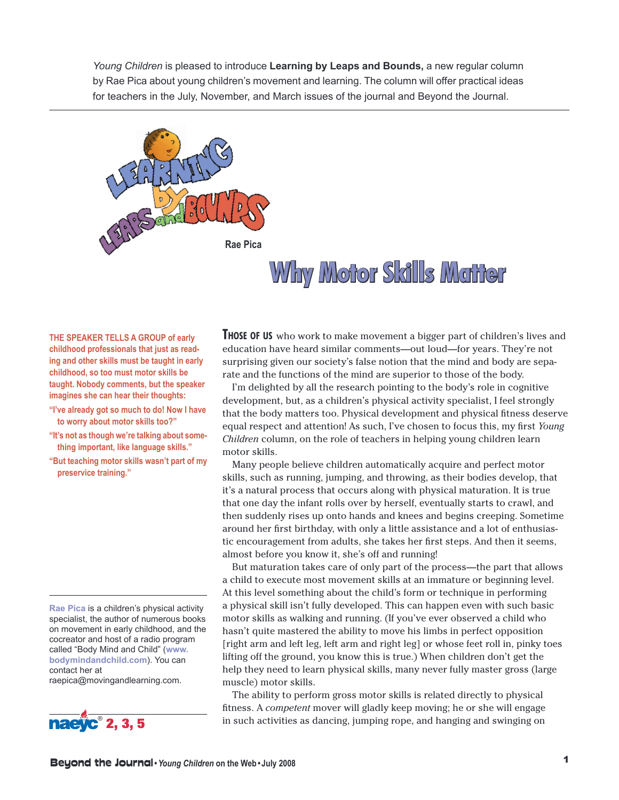*Young Children* is pleased to introduce **Learning by Leaps and Bounds,** a new regular column by Rae Pica about young children's movement and learning. The column will offer practical ideas for teachers in the July, November, and March issues of the journal and Beyond the Journal.



## **Why Motor Skills Matter**

**THE SPEAKER TELLS A GROUP of early childhood professionals that just as reading and other skills must be taught in early childhood, so too must motor skills be taught. Nobody comments, but the speaker imagines she can hear their thoughts:**

- **"I've already got so much to do! Now I have to worry about motor skills too?"**
- **"It's not as though we're talking about something important, like language skills."**
- **"But teaching motor skills wasn't part of my preservice training."**

**Rae Pica** is a children's physical activity specialist, the author of numerous books on movement in early childhood, and the cocreator and host of a radio program called "Body Mind and Child" (**www. bodymindandchild.com**). You can contact her at raepica@movingandlearning.com.



**THOSE OF US** who work to make movement <sup>a</sup> bigger part of children's lives and education have heard similar comments—out loud—for years. They're not surprising given our society's false notion that the mind and body are separate and the functions of the mind are superior to those of the body.

I'm delighted by all the research pointing to the body's role in cognitive development, but, as a children's physical activity specialist, I feel strongly that the body matters too. Physical development and physical fitness deserve equal respect and attention! As such, I've chosen to focus this, my first *Young Children* column, on the role of teachers in helping young children learn motor skills.

Many people believe children automatically acquire and perfect motor skills, such as running, jumping, and throwing, as their bodies develop, that it's a natural process that occurs along with physical maturation. It is true that one day the infant rolls over by herself, eventually starts to crawl, and then suddenly rises up onto hands and knees and begins creeping. Sometime around her first birthday, with only a little assistance and a lot of enthusiastic encouragement from adults, she takes her first steps. And then it seems, almost before you know it, she's off and running!

But maturation takes care of only part of the process—the part that allows a child to execute most movement skills at an immature or beginning level. At this level something about the child's form or technique in performing a physical skill isn't fully developed. This can happen even with such basic motor skills as walking and running. (If you've ever observed a child who hasn't quite mastered the ability to move his limbs in perfect opposition [right arm and left leg, left arm and right leg] or whose feet roll in, pinky toes lifting off the ground, you know this is true.) When children don't get the help they need to learn physical skills, many never fully master gross (large muscle) motor skills.

The ability to perform gross motor skills is related directly to physical fitness. A *competent* mover will gladly keep moving; he or she will engage in such activities as dancing, jumping rope, and hanging and swinging on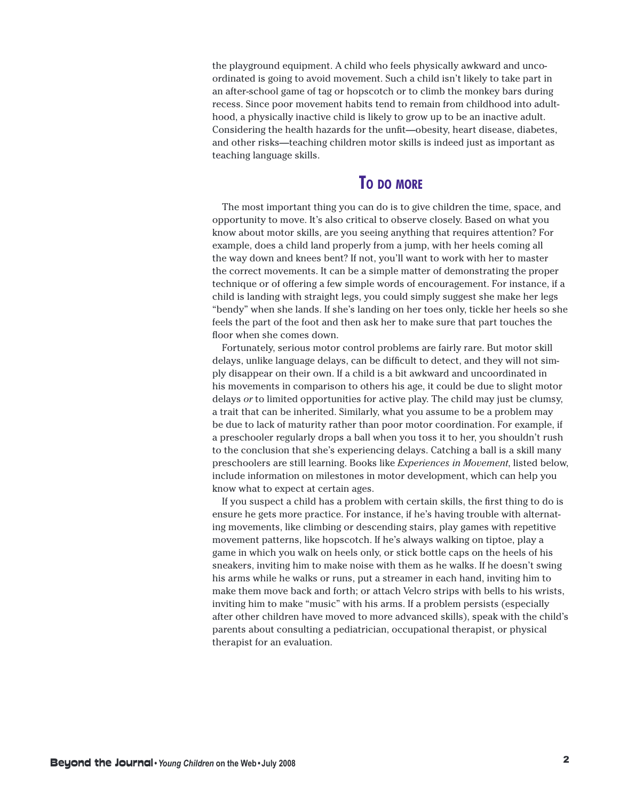the playground equipment. A child who feels physically awkward and uncoordinated is going to avoid movement. Such a child isn't likely to take part in an after-school game of tag or hopscotch or to climb the monkey bars during recess. Since poor movement habits tend to remain from childhood into adulthood, a physically inactive child is likely to grow up to be an inactive adult. Considering the health hazards for the unfit—obesity, heart disease, diabetes, and other risks—teaching children motor skills is indeed just as important as teaching language skills.

## **TO DO MORE**

The most important thing you can do is to give children the time, space, and opportunity to move. It's also critical to observe closely. Based on what you know about motor skills, are you seeing anything that requires attention? For example, does a child land properly from a jump, with her heels coming all the way down and knees bent? If not, you'll want to work with her to master the correct movements. It can be a simple matter of demonstrating the proper technique or of offering a few simple words of encouragement. For instance, if a child is landing with straight legs, you could simply suggest she make her legs "bendy" when she lands. If she's landing on her toes only, tickle her heels so she feels the part of the foot and then ask her to make sure that part touches the floor when she comes down.

Fortunately, serious motor control problems are fairly rare. But motor skill delays, unlike language delays, can be difficult to detect, and they will not simply disappear on their own. If a child is a bit awkward and uncoordinated in his movements in comparison to others his age, it could be due to slight motor delays *or* to limited opportunities for active play. The child may just be clumsy, a trait that can be inherited. Similarly, what you assume to be a problem may be due to lack of maturity rather than poor motor coordination. For example, if a preschooler regularly drops a ball when you toss it to her, you shouldn't rush to the conclusion that she's experiencing delays. Catching a ball is a skill many preschoolers are still learning. Books like *Experiences in Movement*, listed below, include information on milestones in motor development, which can help you know what to expect at certain ages.

If you suspect a child has a problem with certain skills, the first thing to do is ensure he gets more practice. For instance, if he's having trouble with alternating movements, like climbing or descending stairs, play games with repetitive movement patterns, like hopscotch. If he's always walking on tiptoe, play a game in which you walk on heels only, or stick bottle caps on the heels of his sneakers, inviting him to make noise with them as he walks. If he doesn't swing his arms while he walks or runs, put a streamer in each hand, inviting him to make them move back and forth; or attach Velcro strips with bells to his wrists, inviting him to make "music" with his arms. If a problem persists (especially after other children have moved to more advanced skills), speak with the child's parents about consulting a pediatrician, occupational therapist, or physical therapist for an evaluation.